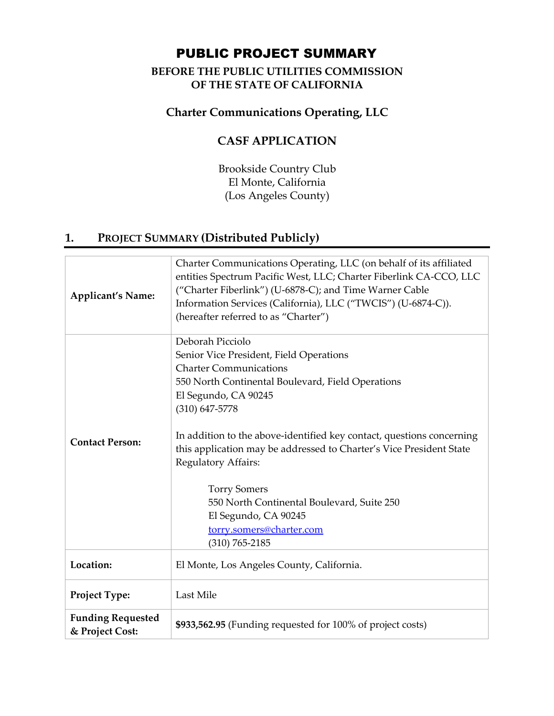# PUBLIC PROJECT SUMMARY

### **BEFORE THE PUBLIC UTILITIES COMMISSION OF THE STATE OF CALIFORNIA**

## **Charter Communications Operating, LLC**

## **CASF APPLICATION**

Brookside Country Club El Monte, California (Los Angeles County)

## **1. PROJECT SUMMARY (Distributed Publicly)**

| <b>Applicant's Name:</b>                    | Charter Communications Operating, LLC (on behalf of its affiliated<br>entities Spectrum Pacific West, LLC; Charter Fiberlink CA-CCO, LLC<br>("Charter Fiberlink") (U-6878-C); and Time Warner Cable<br>Information Services (California), LLC ("TWCIS") (U-6874-C)).<br>(hereafter referred to as "Charter")                                                                                                                                                                                                        |  |
|---------------------------------------------|---------------------------------------------------------------------------------------------------------------------------------------------------------------------------------------------------------------------------------------------------------------------------------------------------------------------------------------------------------------------------------------------------------------------------------------------------------------------------------------------------------------------|--|
| <b>Contact Person:</b>                      | Deborah Picciolo<br>Senior Vice President, Field Operations<br><b>Charter Communications</b><br>550 North Continental Boulevard, Field Operations<br>El Segundo, CA 90245<br>$(310)$ 647-5778<br>In addition to the above-identified key contact, questions concerning<br>this application may be addressed to Charter's Vice President State<br>Regulatory Affairs:<br><b>Torry Somers</b><br>550 North Continental Boulevard, Suite 250<br>El Segundo, CA 90245<br>torry.somers@charter.com<br>$(310) 765 - 2185$ |  |
| Location:                                   | El Monte, Los Angeles County, California.                                                                                                                                                                                                                                                                                                                                                                                                                                                                           |  |
| Project Type:                               | Last Mile                                                                                                                                                                                                                                                                                                                                                                                                                                                                                                           |  |
| <b>Funding Requested</b><br>& Project Cost: | \$933,562.95 (Funding requested for 100% of project costs)                                                                                                                                                                                                                                                                                                                                                                                                                                                          |  |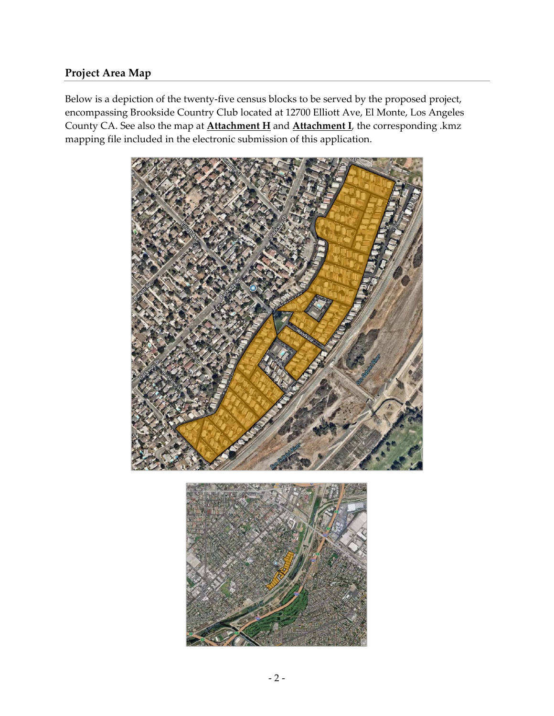### **Project Area Map**

Below is a depiction of the twenty-five census blocks to be served by the proposed project, encompassing Brookside Country Club located at 12700 Elliott Ave, El Monte, Los Angeles County CA. See also the map at **Attachment H** and **Attachment I**, the corresponding .kmz mapping file included in the electronic submission of this application.

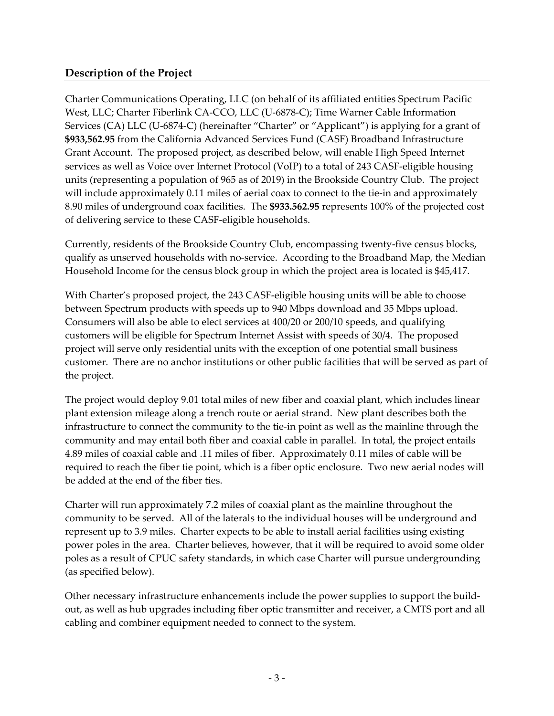### **Description of the Project**

Charter Communications Operating, LLC (on behalf of its affiliated entities Spectrum Pacific West, LLC; Charter Fiberlink CA‐CCO, LLC (U‐6878‐C); Time Warner Cable Information Services (CA) LLC (U-6874-C) (hereinafter "Charter" or "Applicant") is applying for a grant of **\$933,562.95** from the California Advanced Services Fund (CASF) Broadband Infrastructure Grant Account. The proposed project, as described below, will enable High Speed Internet services as well as Voice over Internet Protocol (VoIP) to a total of 243 CASF-eligible housing units (representing a population of 965 as of 2019) in the Brookside Country Club. The project will include approximately 0.11 miles of aerial coax to connect to the tie-in and approximately 8.90 miles of underground coax facilities. The **\$933.562.95** represents 100% of the projected cost of delivering service to these CASF‐eligible households.

Currently, residents of the Brookside Country Club, encompassing twenty‐five census blocks, qualify as unserved households with no‐service. According to the Broadband Map, the Median Household Income for the census block group in which the project area is located is \$45,417.

With Charter's proposed project, the 243 CASF-eligible housing units will be able to choose between Spectrum products with speeds up to 940 Mbps download and 35 Mbps upload. Consumers will also be able to elect services at 400/20 or 200/10 speeds, and qualifying customers will be eligible for Spectrum Internet Assist with speeds of 30/4. The proposed project will serve only residential units with the exception of one potential small business customer. There are no anchor institutions or other public facilities that will be served as part of the project.

The project would deploy 9.01 total miles of new fiber and coaxial plant, which includes linear plant extension mileage along a trench route or aerial strand. New plant describes both the infrastructure to connect the community to the tie-in point as well as the mainline through the community and may entail both fiber and coaxial cable in parallel. In total, the project entails 4.89 miles of coaxial cable and .11 miles of fiber. Approximately 0.11 miles of cable will be required to reach the fiber tie point, which is a fiber optic enclosure. Two new aerial nodes will be added at the end of the fiber ties.

Charter will run approximately 7.2 miles of coaxial plant as the mainline throughout the community to be served. All of the laterals to the individual houses will be underground and represent up to 3.9 miles. Charter expects to be able to install aerial facilities using existing power poles in the area. Charter believes, however, that it will be required to avoid some older poles as a result of CPUC safety standards, in which case Charter will pursue undergrounding (as specified below).

Other necessary infrastructure enhancements include the power supplies to support the build‐ out, as well as hub upgrades including fiber optic transmitter and receiver, a CMTS port and all cabling and combiner equipment needed to connect to the system.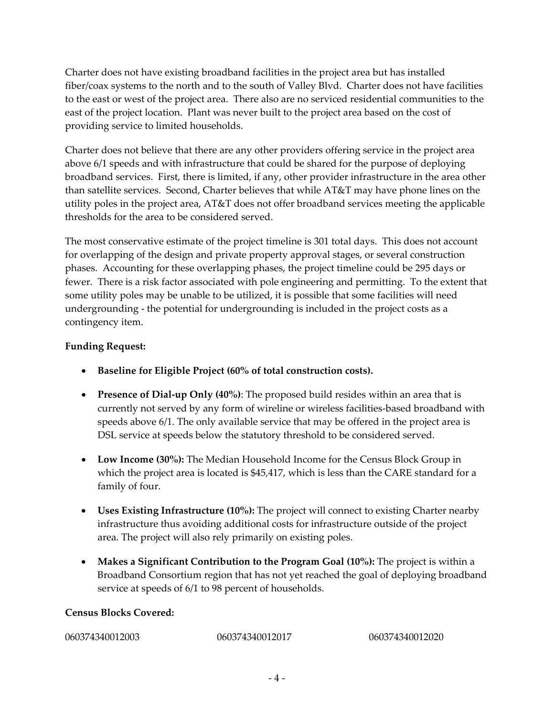Charter does not have existing broadband facilities in the project area but has installed fiber/coax systems to the north and to the south of Valley Blvd. Charter does not have facilities to the east or west of the project area. There also are no serviced residential communities to the east of the project location. Plant was never built to the project area based on the cost of providing service to limited households.

Charter does not believe that there are any other providers offering service in the project area above 6/1 speeds and with infrastructure that could be shared for the purpose of deploying broadband services. First, there is limited, if any, other provider infrastructure in the area other than satellite services. Second, Charter believes that while AT&T may have phone lines on the utility poles in the project area, AT&T does not offer broadband services meeting the applicable thresholds for the area to be considered served.

The most conservative estimate of the project timeline is 301 total days. This does not account for overlapping of the design and private property approval stages, or several construction phases. Accounting for these overlapping phases, the project timeline could be 295 days or fewer. There is a risk factor associated with pole engineering and permitting. To the extent that some utility poles may be unable to be utilized, it is possible that some facilities will need undergrounding ‐ the potential for undergrounding is included in the project costs as a contingency item.

#### **Funding Request:**

- **Baseline for Eligible Project (60% of total construction costs).**
- **Presence of Dial‐up Only (40%)**: The proposed build resides within an area that is currently not served by any form of wireline or wireless facilities‐based broadband with speeds above 6/1. The only available service that may be offered in the project area is DSL service at speeds below the statutory threshold to be considered served.
- **Low Income (30%):** The Median Household Income for the Census Block Group in which the project area is located is \$45,417, which is less than the CARE standard for a family of four.
- **Uses Existing Infrastructure (10%):** The project will connect to existing Charter nearby infrastructure thus avoiding additional costs for infrastructure outside of the project area. The project will also rely primarily on existing poles.
- **Makes a Significant Contribution to the Program Goal (10%):** The project is within a Broadband Consortium region that has not yet reached the goal of deploying broadband service at speeds of 6/1 to 98 percent of households.

#### **Census Blocks Covered:**

| 060374340012003<br>060374340012020<br>060374340012017 |  |
|-------------------------------------------------------|--|
|-------------------------------------------------------|--|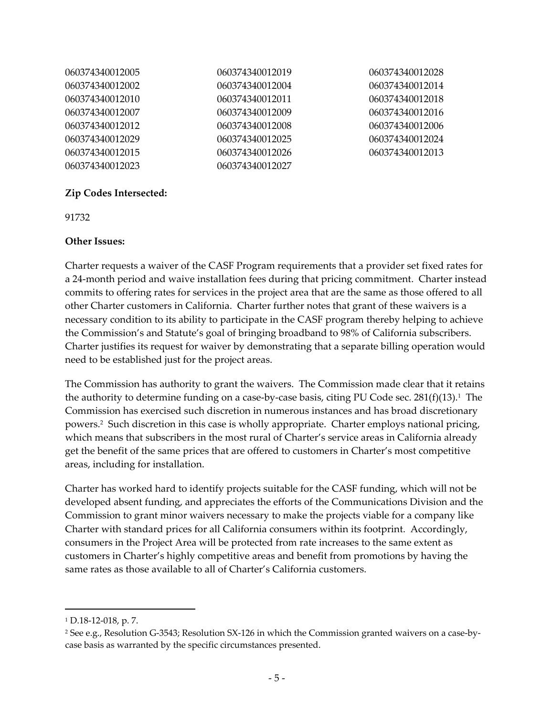| 060374340012005 | 060374340012019 | 060374340012028 |
|-----------------|-----------------|-----------------|
| 060374340012002 | 060374340012004 | 060374340012014 |
| 060374340012010 | 060374340012011 | 060374340012018 |
| 060374340012007 | 060374340012009 | 060374340012016 |
| 060374340012012 | 060374340012008 | 060374340012006 |
| 060374340012029 | 060374340012025 | 060374340012024 |
| 060374340012015 | 060374340012026 | 060374340012013 |
| 060374340012023 | 060374340012027 |                 |

#### **Zip Codes Intersected:**

91732

#### **Other Issues:**

Charter requests a waiver of the CASF Program requirements that a provider set fixed rates for a 24‐month period and waive installation fees during that pricing commitment. Charter instead commits to offering rates for services in the project area that are the same as those offered to all other Charter customers in California. Charter further notes that grant of these waivers is a necessary condition to its ability to participate in the CASF program thereby helping to achieve the Commission's and Statute's goal of bringing broadband to 98% of California subscribers. Charter justifies its request for waiver by demonstrating that a separate billing operation would need to be established just for the project areas.

The Commission has authority to grant the waivers. The Commission made clear that it retains the authority to determine funding on a case-by-case basis, citing PU Code sec.  $281(f)(13).$ <sup>1</sup> The Commission has exercised such discretion in numerous instances and has broad discretionary powers.2 Such discretion in this case is wholly appropriate. Charter employs national pricing, which means that subscribers in the most rural of Charter's service areas in California already get the benefit of the same prices that are offered to customers in Charter's most competitive areas, including for installation.

Charter has worked hard to identify projects suitable for the CASF funding, which will not be developed absent funding, and appreciates the efforts of the Communications Division and the Commission to grant minor waivers necessary to make the projects viable for a company like Charter with standard prices for all California consumers within its footprint. Accordingly, consumers in the Project Area will be protected from rate increases to the same extent as customers in Charter's highly competitive areas and benefit from promotions by having the same rates as those available to all of Charter's California customers.

<sup>1</sup> D.18‐12‐018, p. 7.

<sup>2</sup> See e.g., Resolution G‐3543; Resolution SX‐126 in which the Commission granted waivers on a case‐by‐ case basis as warranted by the specific circumstances presented.